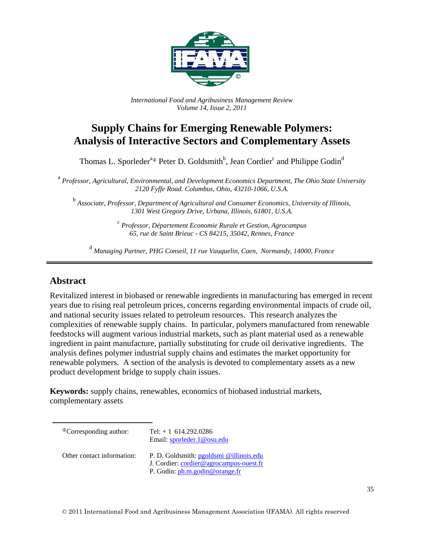

*International Food and Agribusiness Management Review Volume 14, Issue 2, 2011*

# **Supply Chains for Emerging Renewable Polymers: Analysis of Interactive Sectors and Complementary Assets**

Thomas L. Sporleder<sup>a</sup><sup>®</sup> Peter D. Goldsmith<sup>b</sup>, Jean Cordier<sup>c</sup> and Philippe Godin<sup>d</sup>

 a *Professor, Agricultural, Environmental, and Development Economics Department, The Ohio State University 2120 Fyffe Road. Columbus, Ohio, 43210-1066, U.S.A.* 

<sup>b</sup> *Associate, Professor, Department of Agricultural and Consumer Economics, University of Illinois, 1301 West Gregory Drive, Urbana, Illinois, 61801, U.S.A.* 

> <sup>c</sup> *Professor, Département Economie Rurale et Gestion, Agrocampus 65, rue de Saint Brieuc - CS 84215, 35042, Rennes, France*

<sup>d</sup> *Managing Partner, PHG Conseil, 11 rue Vauquelin, Caen, Normandy, 14000, France* 

## **Abstract**

Revitalized interest in biobased or renewable ingredients in manufacturing has emerged in recent years due to rising real petroleum prices, concerns regarding environmental impacts of crude oil, and national security issues related to petroleum resources. This research analyzes the complexities of renewable supply chains. In particular, polymers manufactured from renewable feedstocks will augment various industrial markets, such as plant material used as a renewable ingredient in paint manufacture, partially substituting for crude oil derivative ingredients. The analysis defines polymer industrial supply chains and estimates the market opportunity for renewable polymers. A section of the analysis is devoted to complementary assets as a new product development bridge to supply chain issues.

**Keywords:** supply chains, renewables, economics of biobased industrial markets, complementary assets

| <sup>®</sup> Corresponding author: | Tel: $+1$ 614.292.0286<br>Email: sporleder.1@osu.edu                                                                 |
|------------------------------------|----------------------------------------------------------------------------------------------------------------------|
| Other contact information:         | P. D. Goldsmith: pgoldsmi @illinois.edu<br>J. Cordier: cordier@agrocampus-ouest.fr<br>P. Godin: ph.m.godin@orange.fr |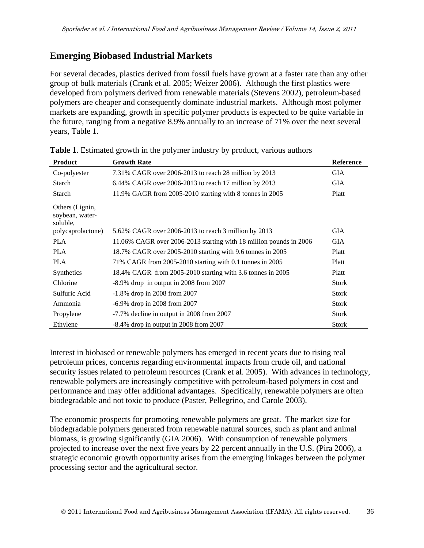## **Emerging Biobased Industrial Markets**

For several decades, plastics derived from fossil fuels have grown at a faster rate than any other group of bulk materials (Crank et al. 2005; Weizer 2006). Although the first plastics were developed from polymers derived from renewable materials (Stevens 2002), petroleum-based polymers are cheaper and consequently dominate industrial markets. Although most polymer markets are expanding, growth in specific polymer products is expected to be quite variable in the future, ranging from a negative 8.9% annually to an increase of 71% over the next several years, Table 1.

| <b>Product</b>                                 | <b>Growth Rate</b>                                                 | <b>Reference</b> |
|------------------------------------------------|--------------------------------------------------------------------|------------------|
| Co-polyester                                   | 7.31% CAGR over 2006-2013 to reach 28 million by 2013              | <b>GIA</b>       |
| Starch                                         | 6.44% CAGR over 2006-2013 to reach 17 million by 2013              | <b>GIA</b>       |
| Starch                                         | 11.9% GAGR from 2005-2010 starting with 8 tonnes in 2005           | Platt            |
| Others (Lignin,<br>soybean, water-<br>soluble. |                                                                    |                  |
| polycaprolactone)                              | 5.62% CAGR over 2006-2013 to reach 3 million by 2013               | <b>GIA</b>       |
| <b>PLA</b>                                     | 11.06% CAGR over 2006-2013 starting with 18 million pounds in 2006 | <b>GIA</b>       |
| <b>PLA</b>                                     | 18.7% CAGR over 2005-2010 starting with 9.6 tonnes in 2005         | Platt            |
| <b>PLA</b>                                     | 71% CAGR from 2005-2010 starting with 0.1 tonnes in 2005           | Platt            |
| Synthetics                                     | 18.4% CAGR from 2005-2010 starting with 3.6 tonnes in 2005         | Platt            |
| Chlorine                                       | $-8.9\%$ drop in output in 2008 from 2007                          | <b>Stork</b>     |
| Sulfuric Acid                                  | $-1.8\%$ drop in 2008 from 2007                                    | <b>Stork</b>     |
| Ammonia                                        | -6.9% drop in 2008 from 2007                                       | <b>Stork</b>     |
| Propylene                                      | -7.7% decline in output in 2008 from 2007                          | <b>Stork</b>     |
| Ethylene                                       | $-8.4\%$ drop in output in 2008 from 2007                          | <b>Stork</b>     |

**Table 1**. Estimated growth in the polymer industry by product, various authors

Interest in biobased or renewable polymers has emerged in recent years due to rising real petroleum prices, concerns regarding environmental impacts from crude oil, and national security issues related to petroleum resources (Crank et al. 2005). With advances in technology, renewable polymers are increasingly competitive with petroleum-based polymers in cost and performance and may offer additional advantages. Specifically, renewable polymers are often biodegradable and not toxic to produce (Paster, Pellegrino, and Carole 2003).

The economic prospects for promoting renewable polymers are great. The market size for biodegradable polymers generated from renewable natural sources, such as plant and animal biomass, is growing significantly (GIA 2006). With consumption of renewable polymers projected to increase over the next five years by 22 percent annually in the U.S. (Pira 2006), a strategic economic growth opportunity arises from the emerging linkages between the polymer processing sector and the agricultural sector.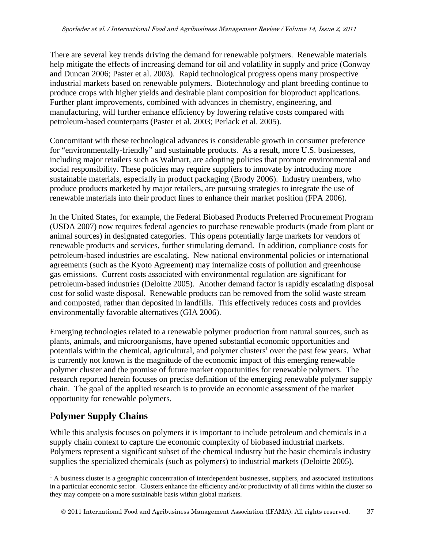There are several key trends driving the demand for renewable polymers. Renewable materials help mitigate the effects of increasing demand for oil and volatility in supply and price (Conway and Duncan 2006; Paster et al. 2003). Rapid technological progress opens many prospective industrial markets based on renewable polymers. Biotechnology and plant breeding continue to produce crops with higher yields and desirable plant composition for bioproduct applications. Further plant improvements, combined with advances in chemistry, engineering, and manufacturing, will further enhance efficiency by lowering relative costs compared with petroleum-based counterparts (Paster et al. 2003; Perlack et al. 2005).

Concomitant with these technological advances is considerable growth in consumer preference for "environmentally-friendly" and sustainable products. As a result, more U.S. businesses, including major retailers such as Walmart, are adopting policies that promote environmental and social responsibility. These policies may require suppliers to innovate by introducing more sustainable materials, especially in product packaging (Brody 2006). Industry members, who produce products marketed by major retailers, are pursuing strategies to integrate the use of renewable materials into their product lines to enhance their market position (FPA 2006).

In the United States, for example, the Federal Biobased Products Preferred Procurement Program (USDA 2007) now requires federal agencies to purchase renewable products (made from plant or animal sources) in designated categories. This opens potentially large markets for vendors of renewable products and services, further stimulating demand. In addition, compliance costs for petroleum-based industries are escalating. New national environmental policies or international agreements (such as the Kyoto Agreement) may internalize costs of pollution and greenhouse gas emissions. Current costs associated with environmental regulation are significant for petroleum-based industries (Deloitte 2005). Another demand factor is rapidly escalating disposal cost for solid waste disposal. Renewable products can be removed from the solid waste stream and composted, rather than deposited in landfills. This effectively reduces costs and provides environmentally favorable alternatives (GIA 2006).

Emerging technologies related to a renewable polymer production from natural sources, such as plants, animals, and microorganisms, have opened substantial economic opportunities and potentials within the chemical, agricultural, and polymer clusters<sup>1</sup> over the past few years. What is currently not known is the magnitude of the economic impact of this emerging renewable polymer cluster and the promise of future market opportunities for renewable polymers. The research reported herein focuses on precise definition of the emerging renewable polymer supply chain. The goal of the applied research is to provide an economic assessment of the market opportunity for renewable polymers.

## **Polymer Supply Chains**

l

While this analysis focuses on polymers it is important to include petroleum and chemicals in a supply chain context to capture the economic complexity of biobased industrial markets. Polymers represent a significant subset of the chemical industry but the basic chemicals industry supplies the specialized chemicals (such as polymers) to industrial markets (Deloitte 2005).

 $<sup>1</sup>$  A business cluster is a geographic concentration of interdependent businesses, suppliers, and associated institutions</sup> in a particular economic sector. Clusters enhance the efficiency and/or productivity of all firms within the cluster so they may compete on a more sustainable basis within global markets.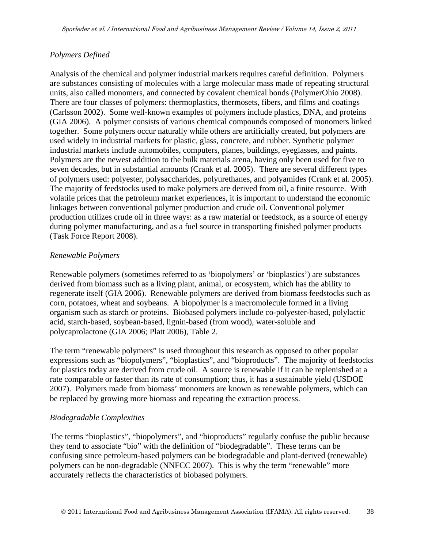### *Polymers Defined*

Analysis of the chemical and polymer industrial markets requires careful definition. Polymers are substances consisting of molecules with a large molecular mass made of repeating structural units, also called monomers, and connected by covalent chemical bonds (PolymerOhio 2008). There are four classes of polymers: thermoplastics, thermosets, fibers, and films and coatings (Carlsson 2002). Some well-known examples of polymers include plastics, DNA, and proteins (GIA 2006). A polymer consists of various chemical compounds composed of monomers linked together. Some polymers occur naturally while others are artificially created, but polymers are used widely in industrial markets for plastic, glass, concrete, and rubber. Synthetic polymer industrial markets include automobiles, computers, planes, buildings, eyeglasses, and paints. Polymers are the newest addition to the bulk materials arena, having only been used for five to seven decades, but in substantial amounts (Crank et al. 2005). There are several different types of polymers used: polyester, polysaccharides, polyurethanes, and polyamides (Crank et al. 2005). The majority of feedstocks used to make polymers are derived from oil, a finite resource. With volatile prices that the petroleum market experiences, it is important to understand the economic linkages between conventional polymer production and crude oil. Conventional polymer production utilizes crude oil in three ways: as a raw material or feedstock, as a source of energy during polymer manufacturing, and as a fuel source in transporting finished polymer products (Task Force Report 2008).

#### *Renewable Polymers*

Renewable polymers (sometimes referred to as 'biopolymers' or 'bioplastics') are substances derived from biomass such as a living plant, animal, or ecosystem, which has the ability to regenerate itself (GIA 2006). Renewable polymers are derived from biomass feedstocks such as corn, potatoes, wheat and soybeans. A biopolymer is a macromolecule formed in a living organism such as starch or proteins. Biobased polymers include co-polyester-based, polylactic acid, starch-based, soybean-based, lignin-based (from wood), water-soluble and polycaprolactone (GIA 2006; Platt 2006), Table 2.

The term "renewable polymers" is used throughout this research as opposed to other popular expressions such as "biopolymers", "bioplastics", and "bioproducts". The majority of feedstocks for plastics today are derived from crude oil. A source is renewable if it can be replenished at a rate comparable or faster than its rate of consumption; thus, it has a sustainable yield (USDOE 2007). Polymers made from biomass' monomers are known as renewable polymers, which can be replaced by growing more biomass and repeating the extraction process.

#### *Biodegradable Complexities*

The terms "bioplastics", "biopolymers", and "bioproducts" regularly confuse the public because they tend to associate "bio" with the definition of "biodegradable". These terms can be confusing since petroleum-based polymers can be biodegradable and plant-derived (renewable) polymers can be non-degradable (NNFCC 2007). This is why the term "renewable" more accurately reflects the characteristics of biobased polymers.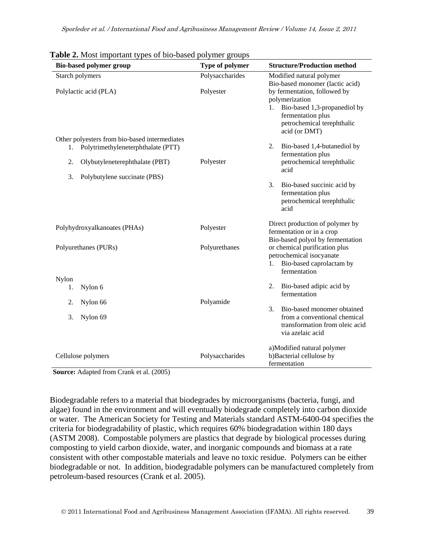| $\mathbf{r}$ and $\mathbf{r}$ , most important types of the based porymer groups<br><b>Bio-based polymer group</b>                                                      | Type of polymer | <b>Structure/Production method</b>                                                                                                                                                       |
|-------------------------------------------------------------------------------------------------------------------------------------------------------------------------|-----------------|------------------------------------------------------------------------------------------------------------------------------------------------------------------------------------------|
| Starch polymers                                                                                                                                                         | Polysaccharides | Modified natural polymer                                                                                                                                                                 |
| Polylactic acid (PLA)                                                                                                                                                   | Polyester       | Bio-based monomer (lactic acid)<br>by fermentation, followed by<br>polymerization<br>1. Bio-based 1,3-propanediol by<br>fermentation plus<br>petrochemical terephthalic<br>acid (or DMT) |
| Other polyesters from bio-based intermediates<br>Polytrimethyleneterphthalate (PTT)<br>1.<br>2.<br>Olybutyleneterephthalate (PBT)<br>3.<br>Polybutylene succinate (PBS) | Polyester       | Bio-based 1,4-butanediol by<br>2.<br>fermentation plus<br>petrochemical terephthalic<br>acid                                                                                             |
|                                                                                                                                                                         |                 | 3.<br>Bio-based succinic acid by<br>fermentation plus<br>petrochemical terephthalic<br>acid                                                                                              |
| Polyhydroxyalkanoates (PHAs)                                                                                                                                            | Polyester       | Direct production of polymer by<br>fermentation or in a crop<br>Bio-based polyol by fermentation                                                                                         |
| Polyurethanes (PURs)                                                                                                                                                    | Polyurethanes   | or chemical purification plus<br>petrochemical isocyanate<br>1. Bio-based caprolactam by<br>fermentation                                                                                 |
| Nylon<br>Nylon 6<br>1.                                                                                                                                                  |                 | Bio-based adipic acid by<br>2.<br>fermentation                                                                                                                                           |
| Nylon 66<br>2.                                                                                                                                                          | Polyamide       |                                                                                                                                                                                          |
| 3.<br>Nylon 69                                                                                                                                                          |                 | 3.<br>Bio-based monomer obtained<br>from a conventional chemical<br>transformation from oleic acid<br>via azelaic acid                                                                   |
| Cellulose polymers                                                                                                                                                      | Polysaccharides | a)Modified natural polymer<br>b)Bacterial cellulose by<br>fermentation                                                                                                                   |

**Table 2.** Most important types of bio-based polymer groups

**Source:** Adapted from Crank et al. (2005)

Biodegradable refers to a material that biodegrades by microorganisms (bacteria, fungi, and algae) found in the environment and will eventually biodegrade completely into carbon dioxide or water. The American Society for Testing and Materials standard ASTM-6400-04 specifies the criteria for biodegradability of plastic, which requires 60% biodegradation within 180 days (ASTM 2008). Compostable polymers are plastics that degrade by biological processes during composting to yield carbon dioxide, water, and inorganic compounds and biomass at a rate consistent with other compostable materials and leave no toxic residue. Polymers can be either biodegradable or not. In addition, biodegradable polymers can be manufactured completely from petroleum-based resources (Crank et al. 2005).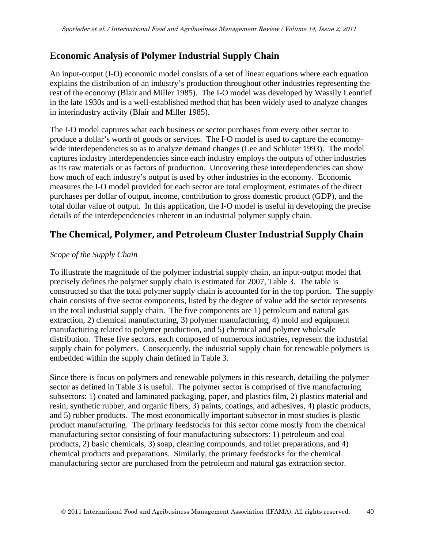## **Economic Analysis of Polymer Industrial Supply Chain**

An input-output (I-O) economic model consists of a set of linear equations where each equation explains the distribution of an industry's production throughout other industries representing the rest of the economy (Blair and Miller 1985). The I-O model was developed by Wassily Leontief in the late 1930s and is a well-established method that has been widely used to analyze changes in interindustry activity (Blair and Miller 1985).

The I-O model captures what each business or sector purchases from every other sector to produce a dollar's worth of goods or services. The I-O model is used to capture the economywide interdependencies so as to analyze demand changes (Lee and Schluter 1993). The model captures industry interdependencies since each industry employs the outputs of other industries as its raw materials or as factors of production. Uncovering these interdependencies can show how much of each industry's output is used by other industries in the economy. Economic measures the I-O model provided for each sector are total employment, estimates of the direct purchases per dollar of output, income, contribution to gross domestic product (GDP), and the total dollar value of output. In this application, the I-O model is useful in developing the precise details of the interdependencies inherent in an industrial polymer supply chain.

# **The Chemical, Polymer, and Petroleum Cluster Industrial Supply Chain**

### *Scope of the Supply Chain*

To illustrate the magnitude of the polymer industrial supply chain, an input-output model that precisely defines the polymer supply chain is estimated for 2007, Table 3. The table is constructed so that the total polymer supply chain is accounted for in the top portion. The supply chain consists of five sector components, listed by the degree of value add the sector represents in the total industrial supply chain. The five components are 1) petroleum and natural gas extraction, 2) chemical manufacturing, 3) polymer manufacturing, 4) mold and equipment manufacturing related to polymer production, and 5) chemical and polymer wholesale distribution. These five sectors, each composed of numerous industries, represent the industrial supply chain for polymers. Consequently, the industrial supply chain for renewable polymers is embedded within the supply chain defined in Table 3.

Since there is focus on polymers and renewable polymers in this research, detailing the polymer sector as defined in Table 3 is useful. The polymer sector is comprised of five manufacturing subsectors: 1) coated and laminated packaging, paper, and plastics film, 2) plastics material and resin, synthetic rubber, and organic fibers, 3) paints, coatings, and adhesives, 4) plastic products, and 5) rubber products. The most economically important subsector in most studies is plastic product manufacturing. The primary feedstocks for this sector come mostly from the chemical manufacturing sector consisting of four manufacturing subsectors: 1) petroleum and coal products, 2) basic chemicals, 3) soap, cleaning compounds, and toilet preparations, and 4) chemical products and preparations. Similarly, the primary feedstocks for the chemical manufacturing sector are purchased from the petroleum and natural gas extraction sector.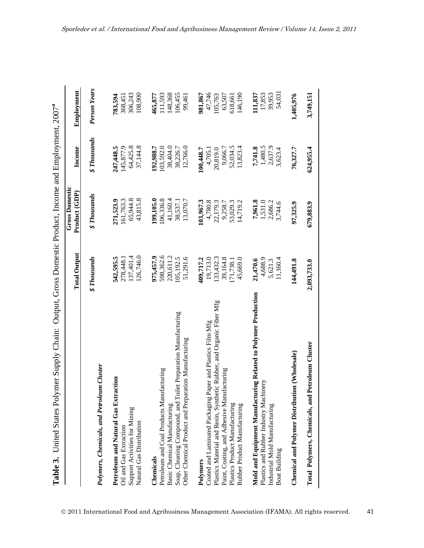Table 3. United States Polymer Supply Chain: Output, Gross Domestic Product, Income and Employment, 2007<sup>a</sup> **Table 3.** United States Polymer Supply Chain: Output, Gross Domestic Product, Income and Employment, 2007**a**

|                                                                      | <b>Total Output</b>                     | <b>Gross Domestic</b><br>Product (GDP) | Income                        | Employment          |
|----------------------------------------------------------------------|-----------------------------------------|----------------------------------------|-------------------------------|---------------------|
| <b>Polymers, Chemicals, and Petroleum Cluster</b>                    | <b><i><i><u>S</u></i></i></b> Thousands | <b><i>\$ Thousands</i></b>             | <b><i>&amp; Thousands</i></b> | <b>Person Years</b> |
| Petroleum and Natural Gas Extraction                                 | 542,595.5                               | 271,523.9                              | 247,448.5                     | 783,594             |
| Oil and Gas Extraction                                               | 278,448.1                               | 161,763.3                              | 145,877.9                     | 368,451             |
| Support Activities for Mining                                        | 137,401.4                               | 65,944.8                               | 64,425.8                      | 306,243             |
| Natural Gas Distribution                                             | 126,746.0                               | 43,815.8                               | 37,144.8                      | 108,900             |
| Chemicals                                                            | 975,457.9                               | 199,105.0                              | 192,988.7                     | 465,877             |
| Petroleum and Coal Products Manufacturing                            | 598,362.6                               | 106,336.8                              | 103,592.0                     | 11,593              |
| Basic Chemical Manufacturing                                         | 220,611.2                               | 41,160.4                               | 38,404.0                      | 148,368             |
| Soap, Cleaning Compound, and Toilet Preparation Manufacturing        | 105,192.5                               | 38,537.1                               | 38,226.7                      | 106,455             |
| Other Chemical Product and Preparation Manufacturing                 | 51,291.6                                | 13,070.7                               | 12,766.0                      | 99,461              |
| Polymers                                                             | 409,717.2                               | 103,967.3                              | 100,448.7                     | 981,867             |
| Coated and Laminated Packaging Paper and Plastics Film Mfg           | 19,713.0                                | 4,780.8                                | 4,705.1                       | 47,746              |
| Plastics Material and Resin, Synthetic Rubber, and Organic Fiber Mfg | [33,432.3                               | 22,179.3                               | 20,819.0                      | 105,763             |
| Paint, Coating, and Adhesive Manufacturing                           | 39,164.8                                | 9,258.7                                | 9,066.7                       | 63,507              |
| Plastics Product Manufacturing                                       | 171,738.1                               | 53,029.3                               | 52,034.5                      | 618,661             |
| Rubber Product Manufacturing                                         | 45,669.0                                | 14.719.2                               | 13,823.4                      | 146,190             |
| Mold and Equipment Manufacturing Related to Polymer Production       | 21,470.6                                | 7,961.8                                | 7,741.8                       | 111,837             |
| Plastics and Rubber Industry Machinery                               | 4,688.9                                 | 1,531.0                                | 1,480.5                       | 17,853              |
| Industrial Mold Manufacturing                                        | 5,621.3                                 | 2,686.2                                | 2,637.9                       | 39,953              |
| Boat Building                                                        | 11,160.4                                | 3,744.6                                | 3,623.4                       | 54,031              |
| Chemical and Polymer Distribution (Wholesale)                        | 144,491.8                               | 97,325.9                               | 76,327.7                      | 1,405,976           |
| Total Polymers, Chemicals, and Petroleum Cluster                     | 2,093,733.0                             | 679,883.9                              | 624,955.4                     | 3,749,15            |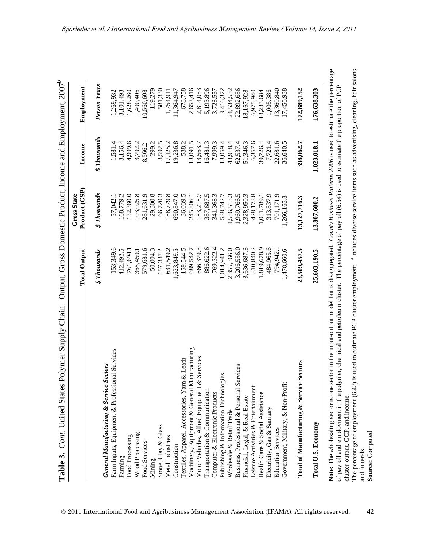| b<br>l                                                                                             |  |
|----------------------------------------------------------------------------------------------------|--|
| ה דירה היים                                                                                        |  |
| l,                                                                                                 |  |
| nono ono limpo                                                                                     |  |
| ļ                                                                                                  |  |
|                                                                                                    |  |
| I                                                                                                  |  |
| $\sim$                                                                                             |  |
|                                                                                                    |  |
|                                                                                                    |  |
| Darbara Sara<br>$\sum_{i=1}^{n}$                                                                   |  |
| .<br>ג                                                                                             |  |
| ֧֧֧֧֧֧ׅ֧֧֧֧֧֧֧֧֧֧֧֧֧֧֧֚֚֚֚֚֚֚֚֚֚֚֚֚֚֚֚֚֚֚֚֚֚֚֚֚֚֚֚֚֝֝֝֝֝֝֓֝֓֝֓֜֓֝֬֝֓֝֬֝֬֝֬֝֬֝֬֝֬֝֬֝֬֝֬֝֬֝֬֝֬֝<br>I |  |
| ζ                                                                                                  |  |
|                                                                                                    |  |
| $_{\text{that}}$<br>ì                                                                              |  |
| J                                                                                                  |  |
|                                                                                                    |  |
| į<br>$\overline{a}$<br>$\frac{6}{3}$                                                               |  |

|                                                                                                                                                                                                                                                                                                                                                                                                                                                                                                     | <b>Total Output</b>                     | Product (GSP)<br><b>Gross State</b> | Income                                  | Employment   |
|-----------------------------------------------------------------------------------------------------------------------------------------------------------------------------------------------------------------------------------------------------------------------------------------------------------------------------------------------------------------------------------------------------------------------------------------------------------------------------------------------------|-----------------------------------------|-------------------------------------|-----------------------------------------|--------------|
|                                                                                                                                                                                                                                                                                                                                                                                                                                                                                                     | <b><i><i><u>S</u></i></i></b> Thousands | <b><i>\$Thousands</i></b>           | <b><i><i><u>S</u></i></i></b> Thousands | Person Years |
| <b>General Manufacturing &amp; Service Sectors</b>                                                                                                                                                                                                                                                                                                                                                                                                                                                  |                                         |                                     |                                         |              |
| Farm Inputs, Equipment & Professional Services                                                                                                                                                                                                                                                                                                                                                                                                                                                      | 153,349.6                               | 57,042.1                            | 1,581.4                                 | 1,269,932    |
| Farming                                                                                                                                                                                                                                                                                                                                                                                                                                                                                             | 412,492.5                               | 168,779.2                           | 3,156.4                                 | 3,101,493    |
| Food Processing                                                                                                                                                                                                                                                                                                                                                                                                                                                                                     | 761,694.1                               | 132,360.0                           | 4,999.6                                 | 1,628,260    |
| Wood Processing                                                                                                                                                                                                                                                                                                                                                                                                                                                                                     | 365,450.1                               | 103,025.8                           | 3,792.2                                 | 1,400,406    |
| Food Services                                                                                                                                                                                                                                                                                                                                                                                                                                                                                       | 579,681.6                               | 281,631.9                           | 8,566.2                                 | 10,560,608   |
| Mining                                                                                                                                                                                                                                                                                                                                                                                                                                                                                              | 50,004.3                                | 29,300.8                            | 299.2                                   | 119,279      |
| Stone, Clay & Glass                                                                                                                                                                                                                                                                                                                                                                                                                                                                                 | 157,337.2                               | 66,720.3                            | 3,592.5                                 | 581,330      |
| Metal Industries                                                                                                                                                                                                                                                                                                                                                                                                                                                                                    | 631,549.2                               | 188,779.8                           | 17,125.2                                | 1,754,911    |
| Construction                                                                                                                                                                                                                                                                                                                                                                                                                                                                                        | ,623,849.5                              | 690,847.0                           | 19,236.8                                | 11,364,947   |
| Textiles, Apparel, Accessories, Yarn & Leath                                                                                                                                                                                                                                                                                                                                                                                                                                                        | 159,544.5                               | 36,039.5                            | 588.2                                   | 678,758      |
| Machinery, Equipment & General Manufacturing                                                                                                                                                                                                                                                                                                                                                                                                                                                        | 689,542.7                               | 245,806.1                           | 3,091.5                                 | 2,653,416    |
| Services<br>Motor Vehicles, Allied Equipment &                                                                                                                                                                                                                                                                                                                                                                                                                                                      | 666,379.3                               | 183,218.7                           | 13,563.7                                | 2,814,053    |
| Transportation & Communication                                                                                                                                                                                                                                                                                                                                                                                                                                                                      | 886,622.6                               | 387,687.5                           | 6,481.3                                 | 5,193,896    |
| Computer & Electronic Products                                                                                                                                                                                                                                                                                                                                                                                                                                                                      | 769,322.4                               | 341,368.3                           | 7,999.3                                 | 3,723,557    |
| Publishing & Information Technologies                                                                                                                                                                                                                                                                                                                                                                                                                                                               | 1,014,941.2                             | 538,742.7                           | 13,059.4                                | 3,416,372    |
| Wholesale & Retail Trade                                                                                                                                                                                                                                                                                                                                                                                                                                                                            | 2,355,366.0                             | 1,586,513.3                         | 43,918.4                                | 24,534,532   |
| vices<br>Business, Professional & Personal Ser                                                                                                                                                                                                                                                                                                                                                                                                                                                      | 3,206,556.0                             | 1,969,766.5                         | 62,537.4                                | 22,892,686   |
| Financial, Legal, & Real Estate                                                                                                                                                                                                                                                                                                                                                                                                                                                                     | 3,636,687.3                             | 2,328,950.3                         | 51,346.3                                | 18,167,928   |
| Leisure Activities & Entertainment                                                                                                                                                                                                                                                                                                                                                                                                                                                                  | 810,840.2                               | 428,173.8                           | 6,357.6                                 | 6,975,940    |
| Health Care & Social Assistance                                                                                                                                                                                                                                                                                                                                                                                                                                                                     | 1,819,678.9                             | 1,081,789.1                         | 39,726.4                                | 18,233,684   |
| Electricity, Gas & Sanitary                                                                                                                                                                                                                                                                                                                                                                                                                                                                         | 484,965.6                               | 313,837.9                           | 7,721.4                                 | 1,005,386    |
| <b>Education Services</b>                                                                                                                                                                                                                                                                                                                                                                                                                                                                           | 794.942.                                | 701,171.9                           | 22,681.6                                | 13,360,840   |
| Government, Military, & Non-Profit                                                                                                                                                                                                                                                                                                                                                                                                                                                                  | 1,478,660.6                             | 1,266,163.8                         | 36,640.5                                | 17,456,938   |
| ectors<br>Total of Manufacturing & Service S                                                                                                                                                                                                                                                                                                                                                                                                                                                        | 23,509,457.5                            | 13,127,716.3                        | 398,062.7                               | 172,889,152  |
| Total U.S. Economy                                                                                                                                                                                                                                                                                                                                                                                                                                                                                  | 25,603,190.5                            | 13,807,600.2                        | 1,023,018.1                             | 176,638,303  |
| used to estimate PCP cluster employment. <sup>a</sup> Includes diverse service items such as advertising, cleaning, hair salons,<br>tor in the input-output model but is disaggregated. County Business Patterns 2006 is used to estimate the percentage<br>er, chemical and petroleum cluster. The percentage of payroll (6.54) is used to estimate the proportion of PCP<br>of payroll and employment in the polym<br>Note: The wholesaling sector is one sec<br>cluster output, GCP, and income. |                                         |                                     |                                         |              |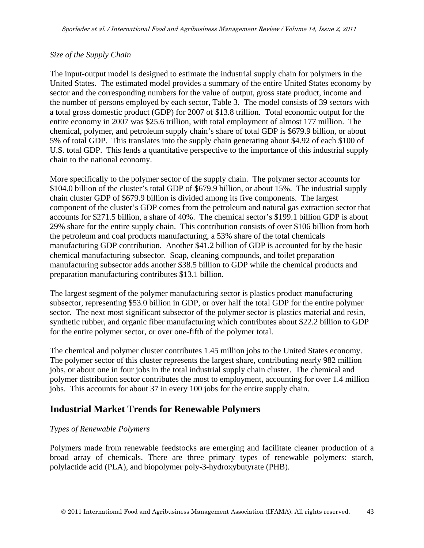#### *Size of the Supply Chain*

The input-output model is designed to estimate the industrial supply chain for polymers in the United States. The estimated model provides a summary of the entire United States economy by sector and the corresponding numbers for the value of output, gross state product, income and the number of persons employed by each sector, Table 3. The model consists of 39 sectors with a total gross domestic product (GDP) for 2007 of \$13.8 trillion. Total economic output for the entire economy in 2007 was \$25.6 trillion, with total employment of almost 177 million. The chemical, polymer, and petroleum supply chain's share of total GDP is \$679.9 billion, or about 5% of total GDP. This translates into the supply chain generating about \$4.92 of each \$100 of U.S. total GDP. This lends a quantitative perspective to the importance of this industrial supply chain to the national economy.

More specifically to the polymer sector of the supply chain. The polymer sector accounts for \$104.0 billion of the cluster's total GDP of \$679.9 billion, or about 15%. The industrial supply chain cluster GDP of \$679.9 billion is divided among its five components. The largest component of the cluster's GDP comes from the petroleum and natural gas extraction sector that accounts for \$271.5 billion, a share of 40%. The chemical sector's \$199.1 billion GDP is about 29% share for the entire supply chain. This contribution consists of over \$106 billion from both the petroleum and coal products manufacturing, a 53% share of the total chemicals manufacturing GDP contribution. Another \$41.2 billion of GDP is accounted for by the basic chemical manufacturing subsector. Soap, cleaning compounds, and toilet preparation manufacturing subsector adds another \$38.5 billion to GDP while the chemical products and preparation manufacturing contributes \$13.1 billion.

The largest segment of the polymer manufacturing sector is plastics product manufacturing subsector, representing \$53.0 billion in GDP, or over half the total GDP for the entire polymer sector. The next most significant subsector of the polymer sector is plastics material and resin, synthetic rubber, and organic fiber manufacturing which contributes about \$22.2 billion to GDP for the entire polymer sector, or over one-fifth of the polymer total.

The chemical and polymer cluster contributes 1.45 million jobs to the United States economy. The polymer sector of this cluster represents the largest share, contributing nearly 982 million jobs, or about one in four jobs in the total industrial supply chain cluster. The chemical and polymer distribution sector contributes the most to employment, accounting for over 1.4 million jobs. This accounts for about 37 in every 100 jobs for the entire supply chain.

## **Industrial Market Trends for Renewable Polymers**

#### *Types of Renewable Polymers*

Polymers made from renewable feedstocks are emerging and facilitate cleaner production of a broad array of chemicals. There are three primary types of renewable polymers: starch, polylactide acid (PLA), and biopolymer poly-3-hydroxybutyrate (PHB).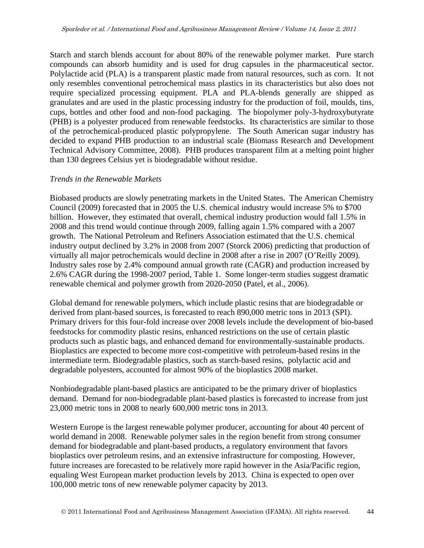Starch and starch blends account for about 80% of the renewable polymer market. Pure starch compounds can absorb humidity and is used for drug capsules in the pharmaceutical sector. Polylactide acid (PLA) is a transparent plastic made from natural resources, such as corn. It not only resembles conventional petrochemical mass plastics in its characteristics but also does not require specialized processing equipment. PLA and PLA-blends generally are shipped as granulates and are used in the plastic processing industry for the production of foil, moulds, tins, cups, bottles and other food and non-food packaging. The biopolymer poly-3-hydroxybutyrate (PHB) is a polyester produced from renewable feedstocks. Its characteristics are similar to those of the petrochemical-produced plastic polypropylene. The South American sugar industry has decided to expand PHB production to an industrial scale (Biomass Research and Development Technical Advisory Committee, 2008). PHB produces transparent film at a melting point higher than 130 degrees Celsius yet is biodegradable without residue.

#### *Trends in the Renewable Markets*

Biobased products are slowly penetrating markets in the United States. The American Chemistry Council (2009) forecasted that in 2005 the U.S. chemical industry would increase 5% to \$700 billion. However, they estimated that overall, chemical industry production would fall 1.5% in 2008 and this trend would continue through 2009, falling again 1.5% compared with a 2007 growth. The National Petroleum and Refiners Association estimated that the U.S. chemical industry output declined by 3.2% in 2008 from 2007 (Storck 2006) predicting that production of virtually all major petrochemicals would decline in 2008 after a rise in 2007 (O'Reilly 2009). Industry sales rose by 2.4% compound annual growth rate (CAGR) and production increased by 2.6% CAGR during the 1998-2007 period, Table 1. Some longer-term studies suggest dramatic renewable chemical and polymer growth from 2020-2050 (Patel, et al., 2006).

Global demand for renewable polymers, which include plastic resins that are biodegradable or derived from plant-based sources, is forecasted to reach 890,000 metric tons in 2013 (SPI). Primary drivers for this four-fold increase over 2008 levels include the development of bio-based feedstocks for commodity plastic resins, enhanced restrictions on the use of certain plastic products such as plastic bags, and enhanced demand for environmentally-sustainable products. Bioplastics are expected to become more cost-competitive with petroleum-based resins in the intermediate term. Biodegradable plastics, such as starch-based resins, polylactic acid and degradable polyesters, accounted for almost 90% of the bioplastics 2008 market.

Nonbiodegradable plant-based plastics are anticipated to be the primary driver of bioplastics demand. Demand for non-biodegradable plant-based plastics is forecasted to increase from just 23,000 metric tons in 2008 to nearly 600,000 metric tons in 2013.

Western Europe is the largest renewable polymer producer, accounting for about 40 percent of world demand in 2008. Renewable polymer sales in the region benefit from strong consumer demand for biodegradable and plant-based products, a regulatory environment that favors bioplastics over petroleum resins, and an extensive infrastructure for composting. However, future increases are forecasted to be relatively more rapid however in the Asia/Pacific region, equaling West European market production levels by 2013. China is expected to open over 100,000 metric tons of new renewable polymer capacity by 2013.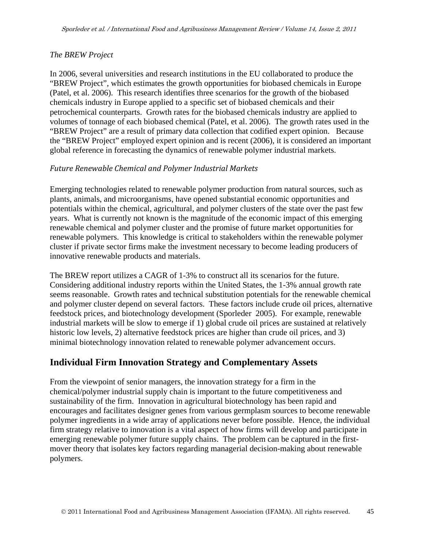### *The BREW Project*

In 2006, several universities and research institutions in the EU collaborated to produce the "BREW Project", which estimates the growth opportunities for biobased chemicals in Europe (Patel, et al. 2006). This research identifies three scenarios for the growth of the biobased chemicals industry in Europe applied to a specific set of biobased chemicals and their petrochemical counterparts. Growth rates for the biobased chemicals industry are applied to volumes of tonnage of each biobased chemical (Patel, et al. 2006). The growth rates used in the "BREW Project" are a result of primary data collection that codified expert opinion. Because the "BREW Project" employed expert opinion and is recent (2006), it is considered an important global reference in forecasting the dynamics of renewable polymer industrial markets.

#### *Future Renewable Chemical and Polymer Industrial Markets*

Emerging technologies related to renewable polymer production from natural sources, such as plants, animals, and microorganisms, have opened substantial economic opportunities and potentials within the chemical, agricultural, and polymer clusters of the state over the past few years. What is currently not known is the magnitude of the economic impact of this emerging renewable chemical and polymer cluster and the promise of future market opportunities for renewable polymers. This knowledge is critical to stakeholders within the renewable polymer cluster if private sector firms make the investment necessary to become leading producers of innovative renewable products and materials.

The BREW report utilizes a CAGR of 1-3% to construct all its scenarios for the future. Considering additional industry reports within the United States, the 1-3% annual growth rate seems reasonable. Growth rates and technical substitution potentials for the renewable chemical and polymer cluster depend on several factors. These factors include crude oil prices, alternative feedstock prices, and biotechnology development (Sporleder 2005). For example, renewable industrial markets will be slow to emerge if 1) global crude oil prices are sustained at relatively historic low levels, 2) alternative feedstock prices are higher than crude oil prices, and 3) minimal biotechnology innovation related to renewable polymer advancement occurs.

## **Individual Firm Innovation Strategy and Complementary Assets**

From the viewpoint of senior managers, the innovation strategy for a firm in the chemical/polymer industrial supply chain is important to the future competitiveness and sustainability of the firm. Innovation in agricultural biotechnology has been rapid and encourages and facilitates designer genes from various germplasm sources to become renewable polymer ingredients in a wide array of applications never before possible. Hence, the individual firm strategy relative to innovation is a vital aspect of how firms will develop and participate in emerging renewable polymer future supply chains. The problem can be captured in the firstmover theory that isolates key factors regarding managerial decision-making about renewable polymers.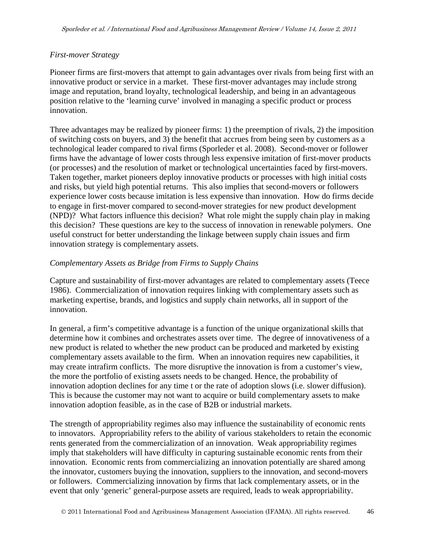### *First-mover Strategy*

Pioneer firms are first-movers that attempt to gain advantages over rivals from being first with an innovative product or service in a market. These first-mover advantages may include strong image and reputation, brand loyalty, technological leadership, and being in an advantageous position relative to the 'learning curve' involved in managing a specific product or process innovation.

Three advantages may be realized by pioneer firms: 1) the preemption of rivals, 2) the imposition of switching costs on buyers, and 3) the benefit that accrues from being seen by customers as a technological leader compared to rival firms (Sporleder et al. 2008). Second-mover or follower firms have the advantage of lower costs through less expensive imitation of first-mover products (or processes) and the resolution of market or technological uncertainties faced by first-movers. Taken together, market pioneers deploy innovative products or processes with high initial costs and risks, but yield high potential returns. This also implies that second-movers or followers experience lower costs because imitation is less expensive than innovation. How do firms decide to engage in first-mover compared to second-mover strategies for new product development (NPD)? What factors influence this decision? What role might the supply chain play in making this decision? These questions are key to the success of innovation in renewable polymers. One useful construct for better understanding the linkage between supply chain issues and firm innovation strategy is complementary assets.

### *Complementary Assets as Bridge from Firms to Supply Chains*

Capture and sustainability of first-mover advantages are related to complementary assets (Teece 1986). Commercialization of innovation requires linking with complementary assets such as marketing expertise, brands, and logistics and supply chain networks, all in support of the innovation.

In general, a firm's competitive advantage is a function of the unique organizational skills that determine how it combines and orchestrates assets over time. The degree of innovativeness of a new product is related to whether the new product can be produced and marketed by existing complementary assets available to the firm. When an innovation requires new capabilities, it may create intrafirm conflicts. The more disruptive the innovation is from a customer's view, the more the portfolio of existing assets needs to be changed. Hence, the probability of innovation adoption declines for any time t or the rate of adoption slows (i.e. slower diffusion). This is because the customer may not want to acquire or build complementary assets to make innovation adoption feasible, as in the case of B2B or industrial markets.

The strength of appropriability regimes also may influence the sustainability of economic rents to innovators. Appropriability refers to the ability of various stakeholders to retain the economic rents generated from the commercialization of an innovation. Weak appropriability regimes imply that stakeholders will have difficulty in capturing sustainable economic rents from their innovation. Economic rents from commercializing an innovation potentially are shared among the innovator, customers buying the innovation, suppliers to the innovation, and second-movers or followers. Commercializing innovation by firms that lack complementary assets, or in the event that only 'generic' general-purpose assets are required, leads to weak appropriability.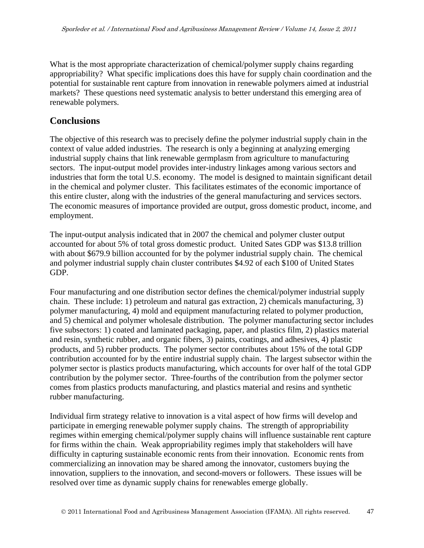What is the most appropriate characterization of chemical/polymer supply chains regarding appropriability? What specific implications does this have for supply chain coordination and the potential for sustainable rent capture from innovation in renewable polymers aimed at industrial markets? These questions need systematic analysis to better understand this emerging area of renewable polymers.

## **Conclusions**

The objective of this research was to precisely define the polymer industrial supply chain in the context of value added industries. The research is only a beginning at analyzing emerging industrial supply chains that link renewable germplasm from agriculture to manufacturing sectors. The input-output model provides inter-industry linkages among various sectors and industries that form the total U.S. economy. The model is designed to maintain significant detail in the chemical and polymer cluster. This facilitates estimates of the economic importance of this entire cluster, along with the industries of the general manufacturing and services sectors. The economic measures of importance provided are output, gross domestic product, income, and employment.

The input-output analysis indicated that in 2007 the chemical and polymer cluster output accounted for about 5% of total gross domestic product. United Sates GDP was \$13.8 trillion with about \$679.9 billion accounted for by the polymer industrial supply chain. The chemical and polymer industrial supply chain cluster contributes \$4.92 of each \$100 of United States GDP.

Four manufacturing and one distribution sector defines the chemical/polymer industrial supply chain. These include: 1) petroleum and natural gas extraction, 2) chemicals manufacturing, 3) polymer manufacturing, 4) mold and equipment manufacturing related to polymer production, and 5) chemical and polymer wholesale distribution. The polymer manufacturing sector includes five subsectors: 1) coated and laminated packaging, paper, and plastics film, 2) plastics material and resin, synthetic rubber, and organic fibers, 3) paints, coatings, and adhesives, 4) plastic products, and 5) rubber products. The polymer sector contributes about 15% of the total GDP contribution accounted for by the entire industrial supply chain. The largest subsector within the polymer sector is plastics products manufacturing, which accounts for over half of the total GDP contribution by the polymer sector. Three-fourths of the contribution from the polymer sector comes from plastics products manufacturing, and plastics material and resins and synthetic rubber manufacturing.

Individual firm strategy relative to innovation is a vital aspect of how firms will develop and participate in emerging renewable polymer supply chains. The strength of appropriability regimes within emerging chemical/polymer supply chains will influence sustainable rent capture for firms within the chain. Weak appropriability regimes imply that stakeholders will have difficulty in capturing sustainable economic rents from their innovation. Economic rents from commercializing an innovation may be shared among the innovator, customers buying the innovation, suppliers to the innovation, and second-movers or followers. These issues will be resolved over time as dynamic supply chains for renewables emerge globally.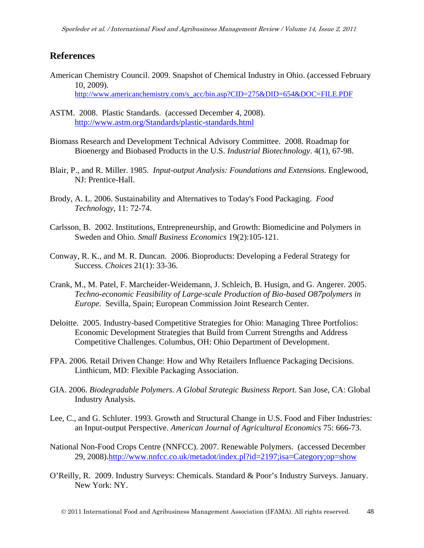### **References**

- American Chemistry Council. 2009. Snapshot of Chemical Industry in Ohio. (accessed February 10, 2009). http://www.americanchemistry.com/s\_acc/bin.asp?CID=275&DID=654&DOC=FILE.PDF
- ASTM. 2008. Plastic Standards. (accessed December 4, 2008). http://www.astm.org/Standards/plastic-standards.html
- Biomass Research and Development Technical Advisory Committee. 2008. Roadmap for Bioenergy and Biobased Products in the U.S. *Industrial Biotechnology*. 4(1), 67-98.
- Blair, P., and R. Miller. 1985. *Input-output Analysis: Foundations and Extensions*. Englewood, NJ: Prentice-Hall.
- Brody, A. L. 2006. Sustainability and Alternatives to Today's Food Packaging. *Food Technology*, 11: 72-74.
- Carlsson, B. 2002. Institutions, Entrepreneurship, and Growth: Biomedicine and Polymers in Sweden and Ohio. *Small Business Economics* 19(2):105-121.
- Conway, R. K., and M. R. Duncan. 2006. Bioproducts: Developing a Federal Strategy for Success. *Choices* 21(1): 33-36.
- Crank, M., M. Patel, F. Marcheider-Weidemann, J. Schleich, B. Husign, and G. Angerer. 2005. *Techno-economic Feasibility of Large-scale Production of Bio-based O87polymers in Europe*. Sevilla, Spain; European Commission Joint Research Center.
- Deloitte. 2005. Industry-based Competitive Strategies for Ohio: Managing Three Portfolios: Economic Development Strategies that Build from Current Strengths and Address Competitive Challenges. Columbus, OH: Ohio Department of Development.
- FPA. 2006. Retail Driven Change: How and Why Retailers Influence Packaging Decisions. Linthicum, MD: Flexible Packaging Association.
- GIA. 2006. *Biodegradable Polymers. A Global Strategic Business Report*. San Jose, CA: Global Industry Analysis.
- Lee, C., and G. Schluter. 1993. Growth and Structural Change in U.S. Food and Fiber Industries: an Input-output Perspective. *American Journal of Agricultural Economics* 75: 666-73.
- National Non-Food Crops Centre (NNFCC). 2007. Renewable Polymers. (accessed December 29, 2008).http://www.nnfcc.co.uk/metadot/index.pl?id=2197;isa=Category;op=show
- O'Reilly, R. 2009. Industry Surveys: Chemicals. Standard & Poor's Industry Surveys. January. New York: NY.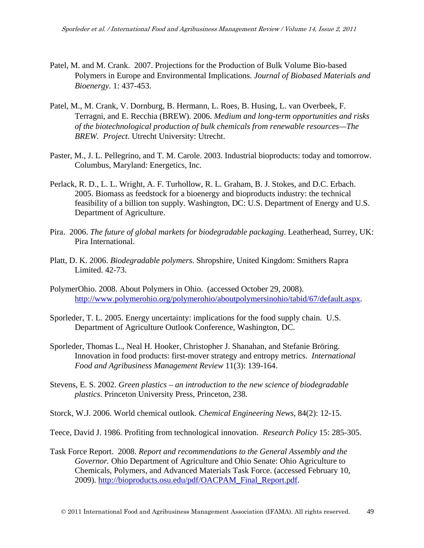- Patel, M. and M. Crank. 2007. Projections for the Production of Bulk Volume Bio-based Polymers in Europe and Environmental Implications. *Journal of Biobased Materials and Bioenergy.* 1: 437-453.
- Patel, M., M. Crank, V. Dornburg, B. Hermann, L. Roes, B. Husing, L. van Overbeek, F. Terragni, and E. Recchia (BREW). 2006. *Medium and long-term opportunities and risks of the biotechnological production of bulk chemicals from renewable resources—The BREW. Project*. Utrecht University: Utrecht.
- Paster, M., J. L. Pellegrino, and T. M. Carole. 2003. Industrial bioproducts: today and tomorrow. Columbus, Maryland: Energetics, Inc.
- Perlack, R. D., L. L. Wright, A. F. Turhollow, R. L. Graham, B. J. Stokes, and D.C. Erbach. 2005. Biomass as feedstock for a bioenergy and bioproducts industry: the technical feasibility of a billion ton supply. Washington, DC: U.S. Department of Energy and U.S. Department of Agriculture.
- Pira. 2006. *The future of global markets for biodegradable packaging*. Leatherhead, Surrey, UK: Pira International.
- Platt, D. K. 2006. *Biodegradable polymers*. Shropshire, United Kingdom: Smithers Rapra Limited. 42-73.
- PolymerOhio. 2008. About Polymers in Ohio. (accessed October 29, 2008). http://www.polymerohio.org/polymerohio/aboutpolymersinohio/tabid/67/default.aspx.
- Sporleder, T. L. 2005. Energy uncertainty: implications for the food supply chain. U.S. Department of Agriculture Outlook Conference, Washington, DC.
- Sporleder, Thomas L., Neal H. Hooker, Christopher J. Shanahan, and Stefanie Bröring. Innovation in food products: first-mover strategy and entropy metrics. *International Food and Agribusiness Management Review* 11(3): 139-164.
- Stevens, E. S. 2002. *Green plastics an introduction to the new science of biodegradable plastics*. Princeton University Press, Princeton, 238.

Storck, W.J. 2006. World chemical outlook. *Chemical Engineering News*, 84(2): 12-15.

Teece, David J. 1986. Profiting from technological innovation. *Research Policy* 15: 285-305.

Task Force Report. 2008. *Report and recommendations to the General Assembly and the Governor.* Ohio Department of Agriculture and Ohio Senate: Ohio Agriculture to Chemicals, Polymers, and Advanced Materials Task Force. (accessed February 10, 2009). http://bioproducts.osu.edu/pdf/OACPAM\_Final\_Report.pdf.